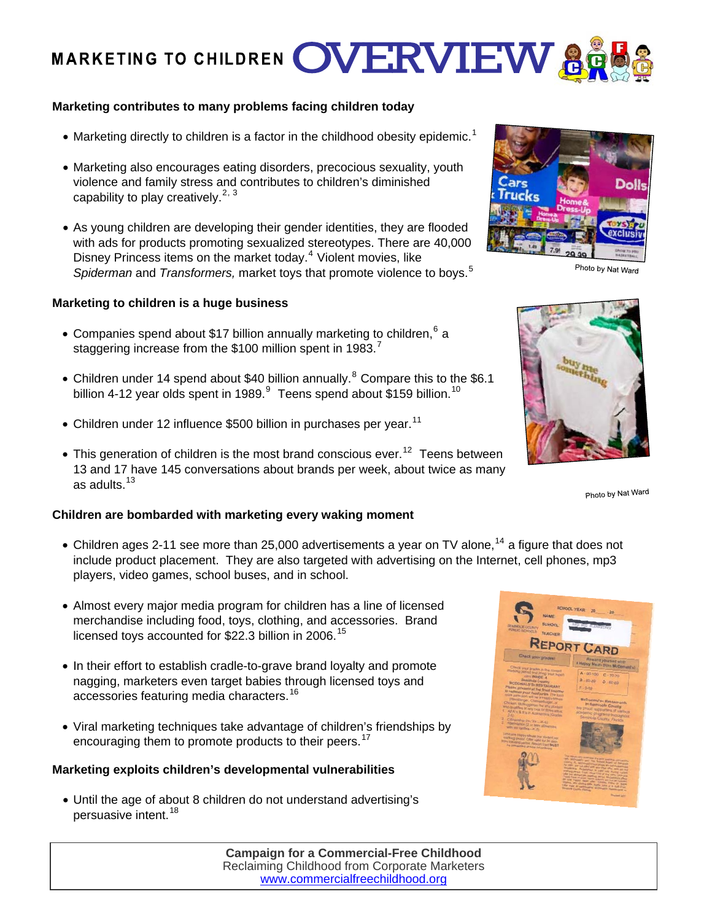# MARKETING TO CHILDREN OVERVIEW &

## **Marketing contributes to many problems facing children today**

- Marketing directly to children is a factor in the childhood obesity epidemic.<sup>[1](#page-1-0)</sup>
- Marketing also encourages eating disorders, precocious sexuality, youth violence and family stress and contributes to children's diminished capability to play creatively.<sup>[2](#page-1-1), [3](#page-1-1)</sup>
- As young children are developing their gender identities, they are flooded with ads for products promoting sexualized stereotypes. There are 40,000 Disney Princess items on the market today.<sup>[4](#page-1-1)</sup> Violent movies, like *Spiderman* and *Transformers,* market toys that promote violence to boys.[5](#page-1-1)

### **Marketing to children is a huge business**

- Companies spend about \$17 billion annually marketing to children,  $6a$  $6a$ staggering increase from the \$100 million spent in 1983.<sup>[7](#page-1-1)</sup>
- Children under 14 spend about \$40 billion annually.<sup>[8](#page-1-1)</sup> Compare this to the \$6.1 billion 4-12 year olds spent in 1[9](#page-1-1)89. $9$  Teens spend about \$159 billion.<sup>[10](#page-1-1)</sup>
- $\bullet$  Children under 12 influence \$500 billion in purchases per vear.<sup>[11](#page-1-1)</sup>
- This generation of children is the most brand conscious ever.<sup>[12](#page-1-1)</sup> Teens between 13 and 17 have 145 conversations about brands per week, about twice as many as adults.<sup>[13](#page-1-1)</sup>

#### **Children are bombarded with marketing every waking moment**

- Children ages 2-11 see more than 25,000 advertisements a year on TV alone,  $14$  a figure that does not include product placement. They are also targeted with advertising on the Internet, cell phones, mp3 players, video games, school buses, and in school.
- Almost every major media program for children has a line of licensed merchandise including food, toys, clothing, and accessories. Brand licensed toys accounted for \$22.3 billion in 2006.<sup>[15](#page-1-1)</sup>
- In their effort to establish cradle-to-grave brand loyalty and promote nagging, marketers even target babies through licensed toys and accessories featuring media characters.<sup>[16](#page-1-1)</sup>
- Viral marketing techniques take advantage of children's friendships by encouraging them to promote products to their peers.<sup>[17](#page-1-1)</sup>

#### **Marketing exploits children's developmental vulnerabilities**

• Until the age of about 8 children do not understand advertising's persuasive intent.[18](#page-1-1)



Photo by Nat Ward



Photo by Nat Ward